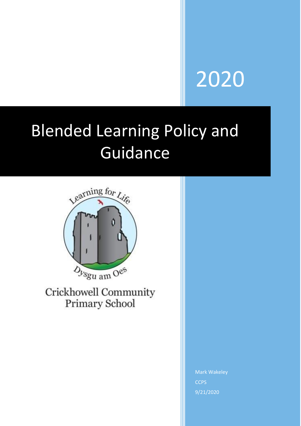# 2020

# Blended Learning Policy and Guidance



Crickhowell Community Primary School

> Mark Wakeley **CCPS** 9/21/2020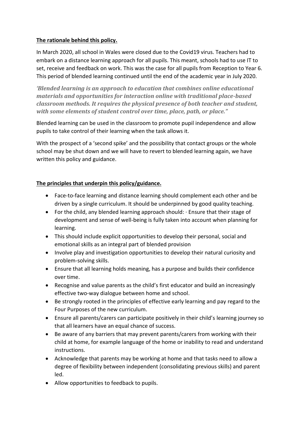# **The rationale behind this policy.**

In March 2020, all school in Wales were closed due to the Covid19 virus. Teachers had to embark on a distance learning approach for all pupils. This meant, schools had to use IT to set, receive and feedback on work. This was the case for all pupils from Reception to Year 6. This period of blended learning continued until the end of the academic year in July 2020.

*'Blended learning is an approach to education that combines online educational materials and opportunities for interaction online with traditional place-based classroom methods. It requires the physical presence of both teacher and student, with some elements of student control over time, place, path, or place."*

Blended learning can be used in the classroom to promote pupil independence and allow pupils to take control of their learning when the task allows it.

With the prospect of a 'second spike' and the possibility that contact groups or the whole school may be shut down and we will have to revert to blended learning again, we have written this policy and guidance.

# **The principles that underpin this policy/guidance.**

- Face-to-face learning and distance learning should complement each other and be driven by a single curriculum. It should be underpinned by good quality teaching.
- For the child, any blended learning approach should: · Ensure that their stage of development and sense of well-being is fully taken into account when planning for learning.
- This should include explicit opportunities to develop their personal, social and emotional skills as an integral part of blended provision
- Involve play and investigation opportunities to develop their natural curiosity and problem-solving skills.
- Ensure that all learning holds meaning, has a purpose and builds their confidence over time.
- Recognise and value parents as the child's first educator and build an increasingly effective two-way dialogue between home and school.
- Be strongly rooted in the principles of effective early learning and pay regard to the Four Purposes of the new curriculum.
- Ensure all parents/carers can participate positively in their child's learning journey so that all learners have an equal chance of success.
- Be aware of any barriers that may prevent parents/carers from working with their child at home, for example language of the home or inability to read and understand instructions.
- Acknowledge that parents may be working at home and that tasks need to allow a degree of flexibility between independent (consolidating previous skills) and parent led.
- Allow opportunities to feedback to pupils.